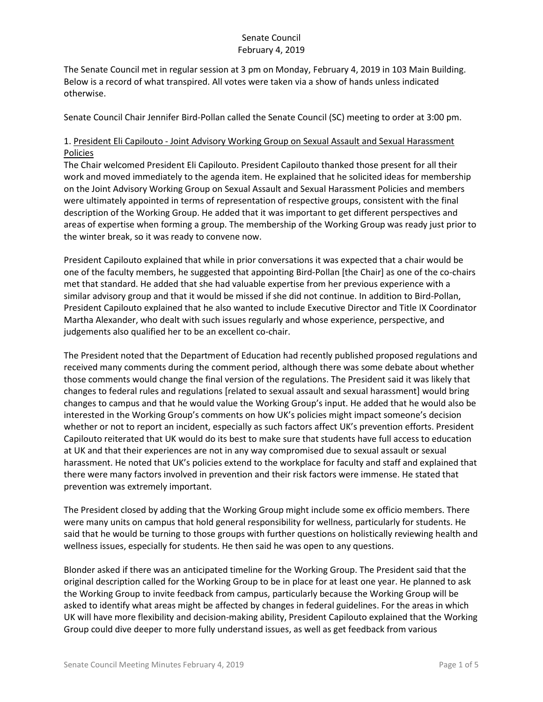The Senate Council met in regular session at 3 pm on Monday, February 4, 2019 in 103 Main Building. Below is a record of what transpired. All votes were taken via a show of hands unless indicated otherwise.

Senate Council Chair Jennifer Bird-Pollan called the Senate Council (SC) meeting to order at 3:00 pm.

# 1. President Eli Capilouto - Joint Advisory Working Group on Sexual Assault and Sexual Harassment Policies

The Chair welcomed President Eli Capilouto. President Capilouto thanked those present for all their work and moved immediately to the agenda item. He explained that he solicited ideas for membership on the Joint Advisory Working Group on Sexual Assault and Sexual Harassment Policies and members were ultimately appointed in terms of representation of respective groups, consistent with the final description of the Working Group. He added that it was important to get different perspectives and areas of expertise when forming a group. The membership of the Working Group was ready just prior to the winter break, so it was ready to convene now.

President Capilouto explained that while in prior conversations it was expected that a chair would be one of the faculty members, he suggested that appointing Bird-Pollan [the Chair] as one of the co-chairs met that standard. He added that she had valuable expertise from her previous experience with a similar advisory group and that it would be missed if she did not continue. In addition to Bird-Pollan, President Capilouto explained that he also wanted to include Executive Director and Title IX Coordinator Martha Alexander, who dealt with such issues regularly and whose experience, perspective, and judgements also qualified her to be an excellent co-chair.

The President noted that the Department of Education had recently published proposed regulations and received many comments during the comment period, although there was some debate about whether those comments would change the final version of the regulations. The President said it was likely that changes to federal rules and regulations [related to sexual assault and sexual harassment] would bring changes to campus and that he would value the Working Group's input. He added that he would also be interested in the Working Group's comments on how UK's policies might impact someone's decision whether or not to report an incident, especially as such factors affect UK's prevention efforts. President Capilouto reiterated that UK would do its best to make sure that students have full access to education at UK and that their experiences are not in any way compromised due to sexual assault or sexual harassment. He noted that UK's policies extend to the workplace for faculty and staff and explained that there were many factors involved in prevention and their risk factors were immense. He stated that prevention was extremely important.

The President closed by adding that the Working Group might include some ex officio members. There were many units on campus that hold general responsibility for wellness, particularly for students. He said that he would be turning to those groups with further questions on holistically reviewing health and wellness issues, especially for students. He then said he was open to any questions.

Blonder asked if there was an anticipated timeline for the Working Group. The President said that the original description called for the Working Group to be in place for at least one year. He planned to ask the Working Group to invite feedback from campus, particularly because the Working Group will be asked to identify what areas might be affected by changes in federal guidelines. For the areas in which UK will have more flexibility and decision-making ability, President Capilouto explained that the Working Group could dive deeper to more fully understand issues, as well as get feedback from various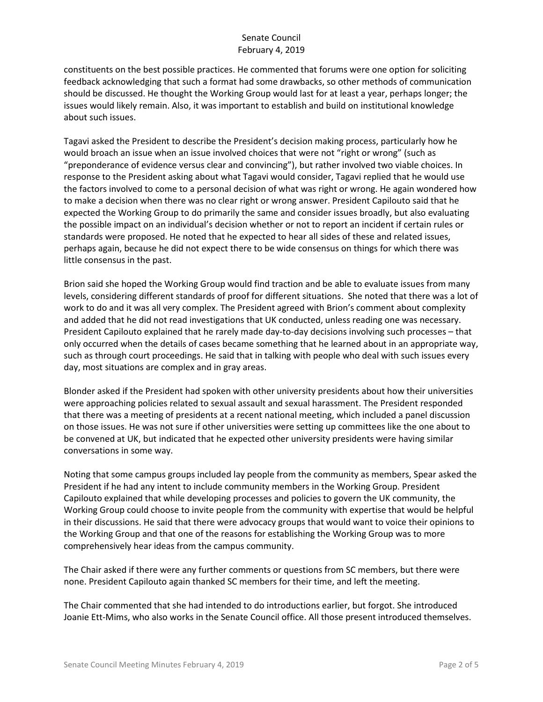constituents on the best possible practices. He commented that forums were one option for soliciting feedback acknowledging that such a format had some drawbacks, so other methods of communication should be discussed. He thought the Working Group would last for at least a year, perhaps longer; the issues would likely remain. Also, it was important to establish and build on institutional knowledge about such issues.

Tagavi asked the President to describe the President's decision making process, particularly how he would broach an issue when an issue involved choices that were not "right or wrong" (such as "preponderance of evidence versus clear and convincing"), but rather involved two viable choices. In response to the President asking about what Tagavi would consider, Tagavi replied that he would use the factors involved to come to a personal decision of what was right or wrong. He again wondered how to make a decision when there was no clear right or wrong answer. President Capilouto said that he expected the Working Group to do primarily the same and consider issues broadly, but also evaluating the possible impact on an individual's decision whether or not to report an incident if certain rules or standards were proposed. He noted that he expected to hear all sides of these and related issues, perhaps again, because he did not expect there to be wide consensus on things for which there was little consensus in the past.

Brion said she hoped the Working Group would find traction and be able to evaluate issues from many levels, considering different standards of proof for different situations. She noted that there was a lot of work to do and it was all very complex. The President agreed with Brion's comment about complexity and added that he did not read investigations that UK conducted, unless reading one was necessary. President Capilouto explained that he rarely made day-to-day decisions involving such processes – that only occurred when the details of cases became something that he learned about in an appropriate way, such as through court proceedings. He said that in talking with people who deal with such issues every day, most situations are complex and in gray areas.

Blonder asked if the President had spoken with other university presidents about how their universities were approaching policies related to sexual assault and sexual harassment. The President responded that there was a meeting of presidents at a recent national meeting, which included a panel discussion on those issues. He was not sure if other universities were setting up committees like the one about to be convened at UK, but indicated that he expected other university presidents were having similar conversations in some way.

Noting that some campus groups included lay people from the community as members, Spear asked the President if he had any intent to include community members in the Working Group. President Capilouto explained that while developing processes and policies to govern the UK community, the Working Group could choose to invite people from the community with expertise that would be helpful in their discussions. He said that there were advocacy groups that would want to voice their opinions to the Working Group and that one of the reasons for establishing the Working Group was to more comprehensively hear ideas from the campus community.

The Chair asked if there were any further comments or questions from SC members, but there were none. President Capilouto again thanked SC members for their time, and left the meeting.

The Chair commented that she had intended to do introductions earlier, but forgot. She introduced Joanie Ett-Mims, who also works in the Senate Council office. All those present introduced themselves.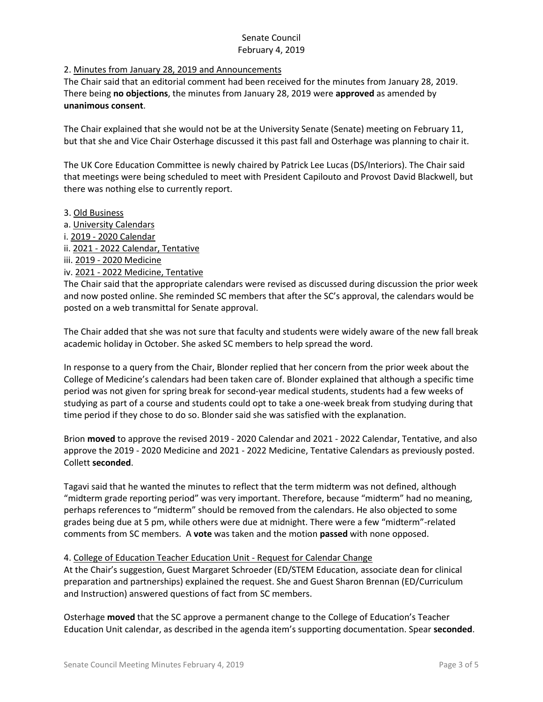## 2. Minutes from January 28, 2019 and Announcements

The Chair said that an editorial comment had been received for the minutes from January 28, 2019. There being **no objections**, the minutes from January 28, 2019 were **approved** as amended by **unanimous consent**.

The Chair explained that she would not be at the University Senate (Senate) meeting on February 11, but that she and Vice Chair Osterhage discussed it this past fall and Osterhage was planning to chair it.

The UK Core Education Committee is newly chaired by Patrick Lee Lucas (DS/Interiors). The Chair said that meetings were being scheduled to meet with President Capilouto and Provost David Blackwell, but there was nothing else to currently report.

- 3. Old Business
- a. University Calendars
- i. 2019 2020 Calendar
- ii. 2021 2022 Calendar, Tentative
- iii. 2019 2020 Medicine
- iv. 2021 2022 Medicine, Tentative

The Chair said that the appropriate calendars were revised as discussed during discussion the prior week and now posted online. She reminded SC members that after the SC's approval, the calendars would be posted on a web transmittal for Senate approval.

The Chair added that she was not sure that faculty and students were widely aware of the new fall break academic holiday in October. She asked SC members to help spread the word.

In response to a query from the Chair, Blonder replied that her concern from the prior week about the College of Medicine's calendars had been taken care of. Blonder explained that although a specific time period was not given for spring break for second-year medical students, students had a few weeks of studying as part of a course and students could opt to take a one-week break from studying during that time period if they chose to do so. Blonder said she was satisfied with the explanation.

Brion **moved** to approve the revised 2019 - 2020 Calendar and 2021 - 2022 Calendar, Tentative, and also approve the 2019 - 2020 Medicine and 2021 - 2022 Medicine, Tentative Calendars as previously posted. Collett **seconded**.

Tagavi said that he wanted the minutes to reflect that the term midterm was not defined, although "midterm grade reporting period" was very important. Therefore, because "midterm" had no meaning, perhaps references to "midterm" should be removed from the calendars. He also objected to some grades being due at 5 pm, while others were due at midnight. There were a few "midterm"-related comments from SC members. A **vote** was taken and the motion **passed** with none opposed.

#### 4. College of Education Teacher Education Unit - Request for Calendar Change

At the Chair's suggestion, Guest Margaret Schroeder (ED/STEM Education, associate dean for clinical preparation and partnerships) explained the request. She and Guest Sharon Brennan (ED/Curriculum and Instruction) answered questions of fact from SC members.

Osterhage **moved** that the SC approve a permanent change to the College of Education's Teacher Education Unit calendar, as described in the agenda item's supporting documentation. Spear **seconded**.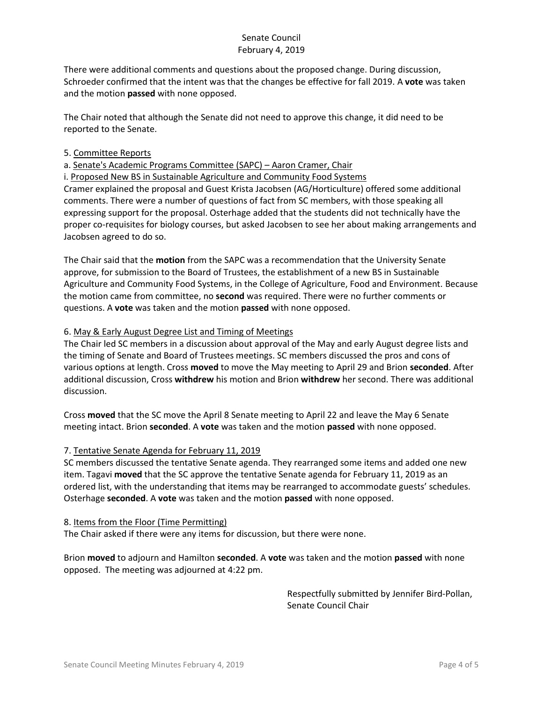There were additional comments and questions about the proposed change. During discussion, Schroeder confirmed that the intent was that the changes be effective for fall 2019. A **vote** was taken and the motion **passed** with none opposed.

The Chair noted that although the Senate did not need to approve this change, it did need to be reported to the Senate.

#### 5. Committee Reports

a. Senate's Academic Programs Committee (SAPC) – Aaron Cramer, Chair

i. Proposed New BS in Sustainable Agriculture and Community Food Systems

Cramer explained the proposal and Guest Krista Jacobsen (AG/Horticulture) offered some additional comments. There were a number of questions of fact from SC members, with those speaking all expressing support for the proposal. Osterhage added that the students did not technically have the proper co-requisites for biology courses, but asked Jacobsen to see her about making arrangements and Jacobsen agreed to do so.

The Chair said that the **motion** from the SAPC was a recommendation that the University Senate approve, for submission to the Board of Trustees, the establishment of a new BS in Sustainable Agriculture and Community Food Systems, in the College of Agriculture, Food and Environment. Because the motion came from committee, no **second** was required. There were no further comments or questions. A **vote** was taken and the motion **passed** with none opposed.

## 6. May & Early August Degree List and Timing of Meetings

The Chair led SC members in a discussion about approval of the May and early August degree lists and the timing of Senate and Board of Trustees meetings. SC members discussed the pros and cons of various options at length. Cross **moved** to move the May meeting to April 29 and Brion **seconded**. After additional discussion, Cross **withdrew** his motion and Brion **withdrew** her second. There was additional discussion.

Cross **moved** that the SC move the April 8 Senate meeting to April 22 and leave the May 6 Senate meeting intact. Brion **seconded**. A **vote** was taken and the motion **passed** with none opposed.

#### 7. Tentative Senate Agenda for February 11, 2019

SC members discussed the tentative Senate agenda. They rearranged some items and added one new item. Tagavi **moved** that the SC approve the tentative Senate agenda for February 11, 2019 as an ordered list, with the understanding that items may be rearranged to accommodate guests' schedules. Osterhage **seconded**. A **vote** was taken and the motion **passed** with none opposed.

# 8. Items from the Floor (Time Permitting)

The Chair asked if there were any items for discussion, but there were none.

Brion **moved** to adjourn and Hamilton **seconded**. A **vote** was taken and the motion **passed** with none opposed. The meeting was adjourned at 4:22 pm.

> Respectfully submitted by Jennifer Bird-Pollan, Senate Council Chair